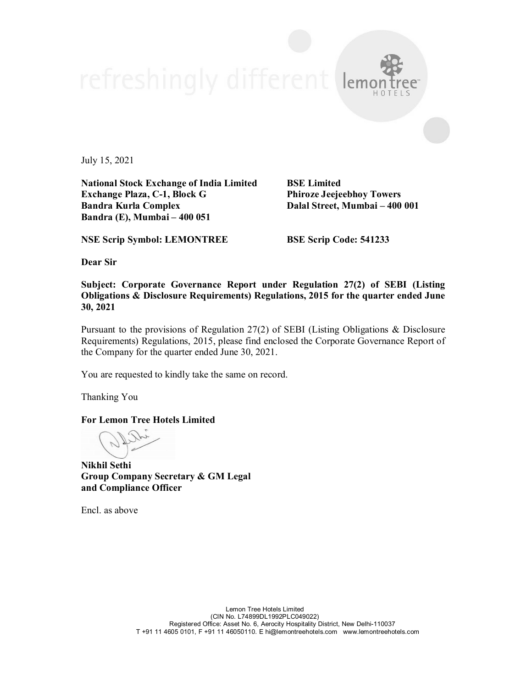July 15, 2021

**National Stock Exchange of India Limited BSE Limited Exchange Plaza, C-1, Block G Phiroze Jeejeebhoy Towers Bandra Kurla Complex Dalal Street, Mumbai – 400 001 Bandra (E), Mumbai – 400 051**

lemo

**NSE Scrip Symbol: LEMONTREE BSE Scrip Code: 541233**

**Dear Sir**

**Subject: Corporate Governance Report under Regulation 27(2) of SEBI (Listing Obligations & Disclosure Requirements) Regulations, 2015 for the quarter ended June 30, 2021**

Pursuant to the provisions of Regulation 27(2) of SEBI (Listing Obligations & Disclosure Requirements) Regulations, 2015, please find enclosed the Corporate Governance Report of the Company for the quarter ended June 30, 2021.

You are requested to kindly take the same on record.

Thanking You

**For Lemon Tree Hotels Limited**

**Nikhil Sethi Group Company Secretary & GM Legal and Compliance Officer**

Encl. as above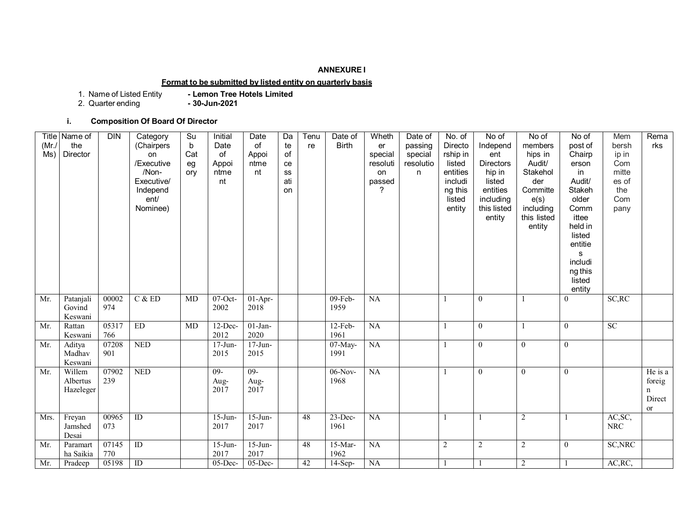### **ANNEXURE I**

# **Format to be submitted by listed entity on quarterly basis**

1. Name of Listed Entity<br>2. Quarter ending

- Lemon Tree Hotels Limited<br>- 30-Jun-2021

# **i. Composition Of Board Of Director**

| (Mr)<br>Ms) | Title Name of<br>the<br>Director | <b>DIN</b>   | Category<br>(Chairpers<br>on<br>/Executive<br>/Non-<br>Executive/<br>Independ<br>ent/<br>Nominee) | Su<br>$\mathsf b$<br>Cat<br>eg<br>ory | Initial<br>Date<br>of<br>Appoi<br>ntme<br>nt | Date<br>of<br>Appoi<br>ntme<br>nt | Da<br>te<br>of<br>ce<br>SS<br>ati<br>on | Tenu<br>re | Date of<br><b>Birth</b> | Wheth<br>er<br>special<br>resoluti<br>on<br>passed<br>2 | Date of<br>passing<br>special<br>resolutio<br>n | No. of<br>Directo<br>rship in<br>listed<br>entities<br>includi<br>ng this<br>listed<br>entity | No of<br>Independ<br>ent<br><b>Directors</b><br>hip in<br>listed<br>entities<br>including<br>this listed<br>entity | No of<br>members<br>hips in<br>Audit/<br>Stakehol<br>der<br>Committe<br>e(s)<br>including<br>this listed<br>entity | No of<br>post of<br>Chairp<br>erson<br>in<br>Audit/<br>Stakeh<br>older<br>Comm<br>ittee<br>held in<br>listed<br>entitie<br>s<br>includi<br>ng this<br>listed<br>entity | Mem<br>bersh<br>ip in<br>Com<br>mitte<br>es of<br>the<br>Com<br>pany | Rema<br>rks                                      |
|-------------|----------------------------------|--------------|---------------------------------------------------------------------------------------------------|---------------------------------------|----------------------------------------------|-----------------------------------|-----------------------------------------|------------|-------------------------|---------------------------------------------------------|-------------------------------------------------|-----------------------------------------------------------------------------------------------|--------------------------------------------------------------------------------------------------------------------|--------------------------------------------------------------------------------------------------------------------|------------------------------------------------------------------------------------------------------------------------------------------------------------------------|----------------------------------------------------------------------|--------------------------------------------------|
| Mr.         | Patanjali<br>Govind<br>Keswani   | 00002<br>974 | C & E D                                                                                           | MD                                    | $07$ -Oct-<br>2002                           | $01-Apr-$<br>2018                 |                                         |            | $09-Feb-$<br>1959       | NA                                                      |                                                 | $\mathbf{1}$                                                                                  | $\mathbf{0}$                                                                                                       |                                                                                                                    | $\theta$                                                                                                                                                               | SC, RC                                                               |                                                  |
| Mr.         | Rattan<br>Keswani                | 05317<br>766 | ED                                                                                                | MD                                    | 12-Dec-<br>2012                              | $01-Jan-$<br>2020                 |                                         |            | $12-Feb-$<br>1961       | NA                                                      |                                                 |                                                                                               | $\overline{0}$                                                                                                     |                                                                                                                    | $\overline{0}$                                                                                                                                                         | SC                                                                   |                                                  |
| Mr.         | Aditya<br>Madhav<br>Keswani      | 07208<br>901 | <b>NED</b>                                                                                        |                                       | $17-J$ un-<br>2015                           | $17-Jun-$<br>2015                 |                                         |            | 07-May-<br>1991         | NA                                                      |                                                 | -1                                                                                            | $\mathbf{0}$                                                                                                       | $\overline{0}$                                                                                                     | $\overline{0}$                                                                                                                                                         |                                                                      |                                                  |
| Mr.         | Willem<br>Albertus<br>Hazeleger  | 07902<br>239 | <b>NED</b>                                                                                        |                                       | $09-$<br>Aug-<br>2017                        | $09-$<br>Aug-<br>2017             |                                         |            | $06-Nov-$<br>1968       | NA                                                      |                                                 | $\mathbf{1}$                                                                                  | $\overline{0}$                                                                                                     | $\theta$                                                                                                           | $\theta$                                                                                                                                                               |                                                                      | He is a<br>foreig<br>$\mathbf n$<br>Direct<br>or |
| Mrs.        | Freyan<br>Jamshed<br>Desai       | 00965<br>073 | $\overline{ID}$                                                                                   |                                       | $15$ -Jun-<br>2017                           | $15$ -Jun-<br>2017                |                                         | 48         | $23$ -Dec-<br>1961      | $\overline{NA}$                                         |                                                 | $\mathbf{1}$                                                                                  | $\mathbf{1}$                                                                                                       | $\overline{2}$                                                                                                     | $\mathbf{1}$                                                                                                                                                           | AC, SC,<br>${\rm NRC}$                                               |                                                  |
| Mr.         | Paramart<br>ha Saikia            | 07145<br>770 | ID                                                                                                |                                       | $15$ -Jun-<br>2017                           | $15$ -Jun-<br>2017                |                                         | 48         | $15-Mar-$<br>1962       | NA                                                      |                                                 | $\overline{c}$                                                                                | $\overline{2}$                                                                                                     | 2                                                                                                                  | $\overline{0}$                                                                                                                                                         | SC, NRC                                                              |                                                  |
| Mr.         | Pradeep                          | 05198        | ID                                                                                                |                                       | $05$ -Dec-                                   | $05$ -Dec-                        |                                         | 42         | $14-Sep-$               | NA                                                      |                                                 | $\mathbf{1}$                                                                                  |                                                                                                                    | $\overline{2}$                                                                                                     |                                                                                                                                                                        | AC, RC,                                                              |                                                  |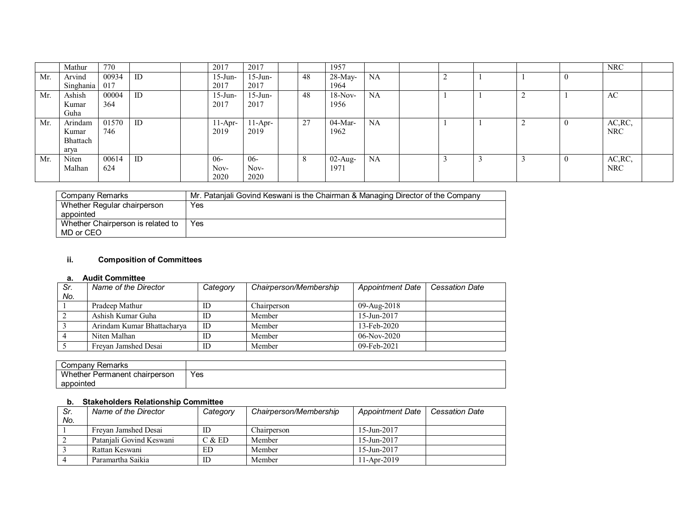|     | Mathur                               | 770          |    | 2017                  | 2017                  |    | 1957               |           |  |  |          | NRC                   |  |
|-----|--------------------------------------|--------------|----|-----------------------|-----------------------|----|--------------------|-----------|--|--|----------|-----------------------|--|
| Mr. | Arvind<br>Singhania                  | 00934<br>017 | ID | $15$ -Jun-<br>2017    | $15$ -Jun-<br>2017    | 48 | 28-May-<br>1964    | NA        |  |  | 0        |                       |  |
| Mr. | Ashish<br>Kumar<br>Guha              | 00004<br>364 | ID | $15$ -Jun-<br>2017    | $15$ -Jun-<br>2017    | 48 | $18-Nov-$<br>1956  | <b>NA</b> |  |  |          | AC                    |  |
| Mr. | Arindam<br>Kumar<br>Bhattach<br>arya | 01570<br>746 | ID | $11-Apr-$<br>2019     | 11-Apr-<br>2019       | 27 | $04-Mar-$<br>1962  | NA        |  |  | 0        | AC, RC,<br><b>NRC</b> |  |
| Mr. | Niten<br>Malhan                      | 00614<br>624 | ID | $06-$<br>Nov-<br>2020 | $06-$<br>Nov-<br>2020 | 8  | $02$ -Aug-<br>1971 | <b>NA</b> |  |  | $\theta$ | AC, RC,<br><b>NRC</b> |  |

| Company Remarks                   | Mr. Patanjali Govind Keswani is the Chairman & Managing Director of the Company |
|-----------------------------------|---------------------------------------------------------------------------------|
| Whether Regular chairperson       | Yes                                                                             |
| appointed                         |                                                                                 |
| Whether Chairperson is related to | Yes                                                                             |
| MD or CEO                         |                                                                                 |

## **ii. Composition of Committees**

### **a. Audit Committee**

| Sr. | Name of the Director       | Category | Chairperson/Membership | <b>Appointment Date</b> | <b>Cessation Date</b> |
|-----|----------------------------|----------|------------------------|-------------------------|-----------------------|
| No. |                            |          |                        |                         |                       |
|     | Pradeep Mathur             | ID       | Chairperson            | 09-Aug-2018             |                       |
|     | Ashish Kumar Guha          | ID       | Member                 | 15-Jun-2017             |                       |
|     | Arindam Kumar Bhattacharya | ID       | Member                 | 13-Feb-2020             |                       |
|     | Niten Malhan               | ID       | Member                 | $06-Nov-2020$           |                       |
|     | Frevan Jamshed Desai       | ID       | Member                 | $09 - Feb - 2021$       |                       |

| Company<br>Remarks            |     |
|-------------------------------|-----|
| Whether Permanent chairperson | Yes |
| appointed                     |     |

## **b. Stakeholders Relationship Committee**

| Sr. | Name of the Director     | Category | Chairperson/Membership | <b>Appointment Date</b> | <b>Cessation Date</b> |
|-----|--------------------------|----------|------------------------|-------------------------|-----------------------|
| No. |                          |          |                        |                         |                       |
|     | Frevan Jamshed Desai     | ID       | Chairperson            | $15$ -Jun-2017          |                       |
|     | Pataniali Govind Keswani | C & E D  | Member                 | $15$ -Jun-2017          |                       |
|     | Rattan Keswani           | ED       | Member                 | $15 - Jun - 2017$       |                       |
|     | Paramartha Saikia        | ID       | Member                 | $11-Apr-2019$           |                       |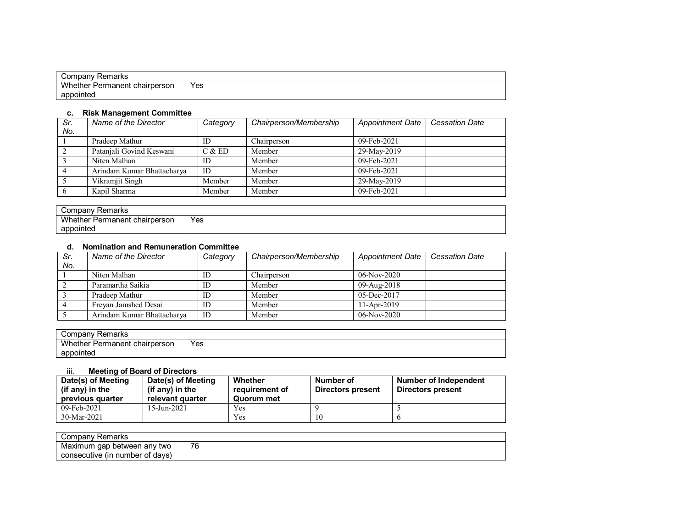| Remarks<br>شcmpany                   |            |
|--------------------------------------|------------|
| Whether i<br>: Permanent chairperson | Yes<br>- - |
| appointed                            |            |

#### **c. Risk Management Committee**

| Sr. | Name of the Director       | Category | Chairperson/Membership | <b>Appointment Date</b> | <b>Cessation Date</b> |
|-----|----------------------------|----------|------------------------|-------------------------|-----------------------|
| No. |                            |          |                        |                         |                       |
|     | Pradeep Mathur             | ID       | Chairperson            | $09$ -Feb-2021          |                       |
|     | Patanjali Govind Keswani   | C & E D  | Member                 | 29-May-2019             |                       |
|     | Niten Malhan               | ID       | Member                 | 09-Feb-2021             |                       |
|     | Arindam Kumar Bhattacharya | ID       | Member                 | $09$ -Feb-2021          |                       |
|     | Vikramjit Singh            | Member   | Member                 | 29-May-2019             |                       |
|     | Kapil Sharma               | Member   | Member                 | 09-Feb-2021             |                       |

| Company<br>Remarks                        |     |
|-------------------------------------------|-----|
| <b>Whether F</b><br>Permanent chairperson | Yes |
| appointed                                 |     |

### **d. Nomination and Remuneration Committee**

| Sr. | Name of the Director       | Category | Chairperson/Membership | <b>Appointment Date</b> | <b>Cessation Date</b> |
|-----|----------------------------|----------|------------------------|-------------------------|-----------------------|
| No. |                            |          |                        |                         |                       |
|     | Niten Malhan               | ID       | Chairperson            | $06-Nov-2020$           |                       |
|     | Paramartha Saikia          | ID       | Member                 | 09-Aug-2018             |                       |
|     | Pradeep Mathur             | ID       | Member                 | $05$ -Dec-2017          |                       |
|     | Frevan Jamshed Desai       | ID       | Member                 | $11$ -Apr-2019          |                       |
|     | Arindam Kumar Bhattacharya | ID       | Member                 | $06-Nov-2020$           |                       |

| Company ∂<br>Remarks                                |     |
|-----------------------------------------------------|-----|
| Whether,<br>t chairperson<br><sup>-</sup> Permanent | Yes |
| appointed                                           |     |

#### iii. **Meeting of Board of Directors**

| Date(s) of Meeting<br>(if any) in the<br>previous quarter | Date(s) of Meeting<br>(if any) in the<br>relevant quarter | Whether<br>requirement of<br>Quorum met | Number of<br>Directors present | Number of Independent<br>Directors present |
|-----------------------------------------------------------|-----------------------------------------------------------|-----------------------------------------|--------------------------------|--------------------------------------------|
| 09-Feb-2021                                               | 15-Jun-2021                                               | Yes                                     |                                |                                            |
| 30-Mar-2021                                               |                                                           | Yes                                     |                                |                                            |

| Company<br>Remarks                     |                                |
|----------------------------------------|--------------------------------|
| Maximum<br>between any<br>' two<br>gap | $\overline{\phantom{a}}$<br>'6 |
| ∵of davs`<br>consecutive (in<br>number |                                |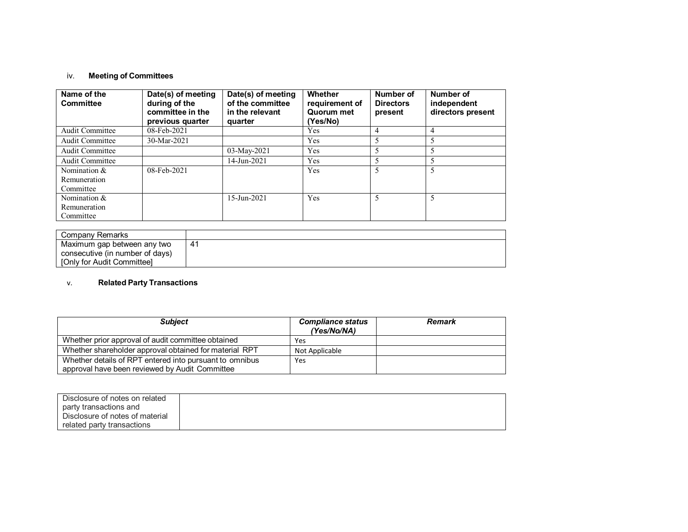## iv. **Meeting of Committees**

| Name of the<br><b>Committee</b>           | Date(s) of meeting<br>during of the<br>committee in the<br>previous quarter | Date(s) of meeting<br>of the committee<br>in the relevant<br>quarter | Whether<br>requirement of<br>Quorum met<br>(Yes/No) | Number of<br><b>Directors</b><br>present | Number of<br>independent<br>directors present |
|-------------------------------------------|-----------------------------------------------------------------------------|----------------------------------------------------------------------|-----------------------------------------------------|------------------------------------------|-----------------------------------------------|
| <b>Audit Committee</b>                    | 08-Feb-2021                                                                 |                                                                      | Yes                                                 | 4                                        | 4                                             |
| <b>Audit Committee</b>                    | 30-Mar-2021                                                                 |                                                                      | Yes                                                 |                                          |                                               |
| Audit Committee                           |                                                                             | 03-May-2021                                                          | Yes                                                 |                                          |                                               |
| <b>Audit Committee</b>                    |                                                                             | 14-Jun-2021                                                          | Yes                                                 |                                          |                                               |
| Nomination &<br>Remuneration<br>Committee | 08-Feb-2021                                                                 |                                                                      | Yes                                                 | 5                                        |                                               |
| Nomination &<br>Remuneration<br>Committee |                                                                             | 15-Jun-2021                                                          | Yes                                                 | 5                                        |                                               |

| Company Remarks                 |     |
|---------------------------------|-----|
| Maximum gap between any two     | -41 |
| consecutive (in number of days) |     |
| [Only for Audit Committee]      |     |

## v. **Related Party Transactions**

| <b>Subject</b>                                          | <b>Compliance status</b><br>(Yes/No/NA) | <b>Remark</b> |
|---------------------------------------------------------|-----------------------------------------|---------------|
| Whether prior approval of audit committee obtained      | Yes                                     |               |
| Whether shareholder approval obtained for material RPT  | Not Applicable                          |               |
| Whether details of RPT entered into pursuant to omnibus | Yes                                     |               |
| approval have been reviewed by Audit Committee          |                                         |               |

| Disclosure of notes on related  |  |
|---------------------------------|--|
| party transactions and          |  |
| Disclosure of notes of material |  |
| related party transactions      |  |